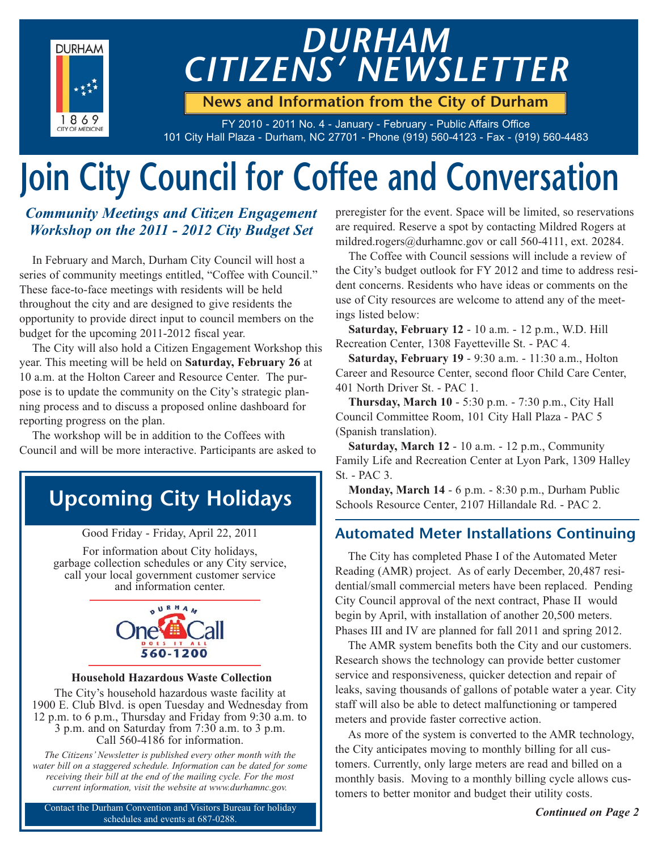

## *DURHAM CITIZENS' NEWSLETTER*

**News and Information from the City of Durham**

FY 2010 - 2011 No. 4 - January - February - Public Affairs Office 101 City Hall Plaza - Durham, NC 27701 - Phone (919) 560-4123 - Fax - (919) 560-4483

# **Join City Council for Coffee and Conversation**

#### *Community Meetings and Citizen Engagement Workshop on the 2011 - 2012 City Budget Set*

In February and March, Durham City Council will host a series of community meetings entitled, "Coffee with Council." These face-to-face meetings with residents will be held throughout the city and are designed to give residents the opportunity to provide direct input to council members on the budget for the upcoming 2011-2012 fiscal year.

The City will also hold a Citizen Engagement Workshop this year. This meeting will be held on **Saturday, February 26** at 10 a.m. at the Holton Career and Resource Center. The purpose is to update the community on the City's strategic planning process and to discuss a proposed online dashboard for reporting progress on the plan.

The workshop will be in addition to the Coffees with Council and will be more interactive. Participants are asked to

### **Upcoming City Holidays**

Good Friday - Friday, April 22, 2011

For information about City holidays, garbage collection schedules or any City service, call your local government customer service and information center.



#### **Household Hazardous Waste Collection**

The City's household hazardous waste facility at 1900 E. Club Blvd. is open Tuesday and Wednesday from 12 p.m. to 6 p.m., Thursday and Friday from 9:30 a.m. to 3 p.m. and on Saturday from 7:30 a.m. to 3 p.m. Call 560-4186 for information.

*The Citizens' Newsletter is published every other month with the water bill on a staggered schedule. Information can be dated for some receiving their bill at the end of the mailing cycle. For the most current information, visit the website at www.durhamnc.gov.*

Contact the Durham Convention and Visitors Bureau for holiday schedules and events at 687-0288.

preregister for the event. Space will be limited, so reservations are required. Reserve a spot by contacting Mildred Rogers at mildred.rogers@durhamnc.gov or call 560-4111, ext. 20284.

The Coffee with Council sessions will include a review of the City's budget outlook for FY 2012 and time to address resident concerns. Residents who have ideas or comments on the use of City resources are welcome to attend any of the meetings listed below:

**Saturday, February 12** - 10 a.m. - 12 p.m., W.D. Hill Recreation Center, 1308 Fayetteville St. - PAC 4.

**Saturday, February 19** - 9:30 a.m. - 11:30 a.m., Holton Career and Resource Center, second floor Child Care Center, 401 North Driver St. - PAC 1.

**Thursday, March 10** - 5:30 p.m. - 7:30 p.m., City Hall Council Committee Room, 101 City Hall Plaza - PAC 5 (Spanish translation).

**Saturday, March 12** - 10 a.m. - 12 p.m., Community Family Life and Recreation Center at Lyon Park, 1309 Halley St. - PAC 3.

**Monday, March 14** - 6 p.m. - 8:30 p.m., Durham Public Schools Resource Center, 2107 Hillandale Rd. - PAC 2.

#### **Automated Meter Installations Continuing**

The City has completed Phase I of the Automated Meter Reading (AMR) project. As of early December, 20,487 residential/small commercial meters have been replaced. Pending City Council approval of the next contract, Phase II would begin by April, with installation of another 20,500 meters. Phases III and IV are planned for fall 2011 and spring 2012.

The AMR system benefits both the City and our customers. Research shows the technology can provide better customer service and responsiveness, quicker detection and repair of leaks, saving thousands of gallons of potable water a year. City staff will also be able to detect malfunctioning or tampered meters and provide faster corrective action.

As more of the system is converted to the AMR technology, the City anticipates moving to monthly billing for all customers. Currently, only large meters are read and billed on a monthly basis. Moving to a monthly billing cycle allows customers to better monitor and budget their utility costs.